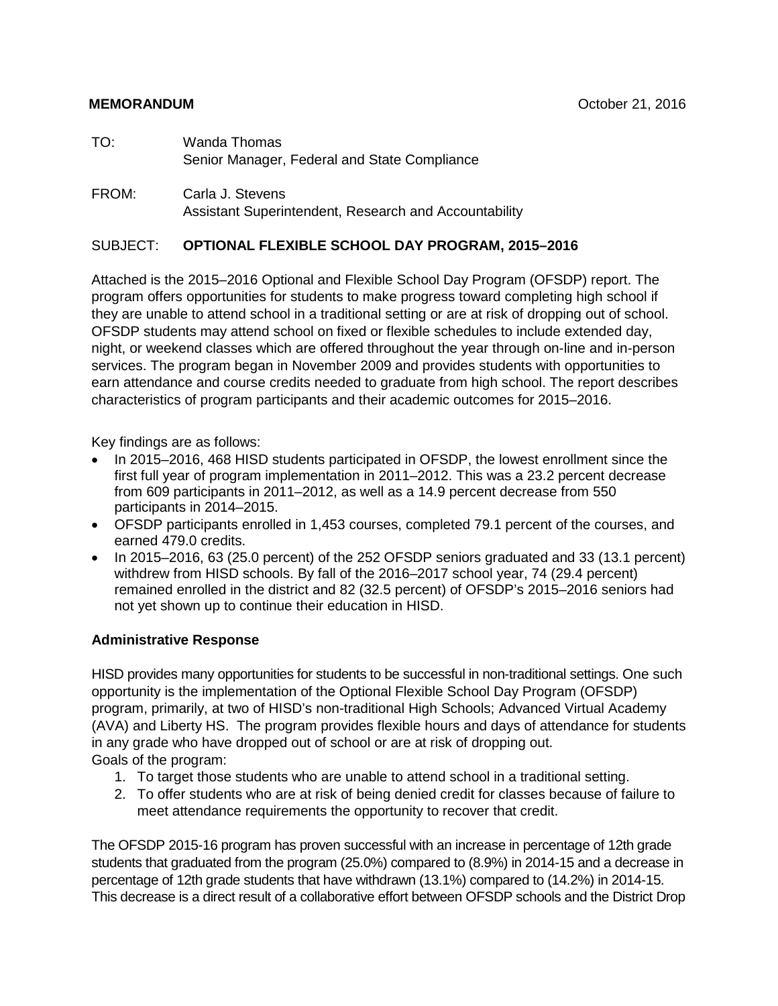- TO: Wanda Thomas Senior Manager, Federal and State Compliance
- FROM: Carla J. Stevens Assistant Superintendent, Research and Accountability

#### SUBJECT: **OPTIONAL FLEXIBLE SCHOOL DAY PROGRAM, 2015–2016**

Attached is the 2015–2016 Optional and Flexible School Day Program (OFSDP) report. The program offers opportunities for students to make progress toward completing high school if they are unable to attend school in a traditional setting or are at risk of dropping out of school. OFSDP students may attend school on fixed or flexible schedules to include extended day, night, or weekend classes which are offered throughout the year through on-line and in-person services. The program began in November 2009 and provides students with opportunities to earn attendance and course credits needed to graduate from high school. The report describes characteristics of program participants and their academic outcomes for 2015–2016.

Key findings are as follows:

- In 2015–2016, 468 HISD students participated in OFSDP, the lowest enrollment since the first full year of program implementation in 2011–2012. This was a 23.2 percent decrease from 609 participants in 2011–2012, as well as a 14.9 percent decrease from 550 participants in 2014–2015.
- OFSDP participants enrolled in 1,453 courses, completed 79.1 percent of the courses, and earned 479.0 credits.
- In 2015–2016, 63 (25.0 percent) of the 252 OFSDP seniors graduated and 33 (13.1 percent) withdrew from HISD schools. By fall of the 2016–2017 school year, 74 (29.4 percent) remained enrolled in the district and 82 (32.5 percent) of OFSDP's 2015–2016 seniors had not yet shown up to continue their education in HISD.

#### **Administrative Response**

HISD provides many opportunities for students to be successful in non-traditional settings. One such opportunity is the implementation of the Optional Flexible School Day Program (OFSDP) program, primarily, at two of HISD's non-traditional High Schools; Advanced Virtual Academy (AVA) and Liberty HS. The program provides flexible hours and days of attendance for students in any grade who have dropped out of school or are at risk of dropping out. Goals of the program:

- 1. To target those students who are unable to attend school in a traditional setting.
- 2. To offer students who are at risk of being denied credit for classes because of failure to meet attendance requirements the opportunity to recover that credit.

The OFSDP 2015-16 program has proven successful with an increase in percentage of 12th grade students that graduated from the program (25.0%) compared to (8.9%) in 2014-15 and a decrease in percentage of 12th grade students that have withdrawn (13.1%) compared to (14.2%) in 2014-15. This decrease is a direct result of a collaborative effort between OFSDP schools and the District Drop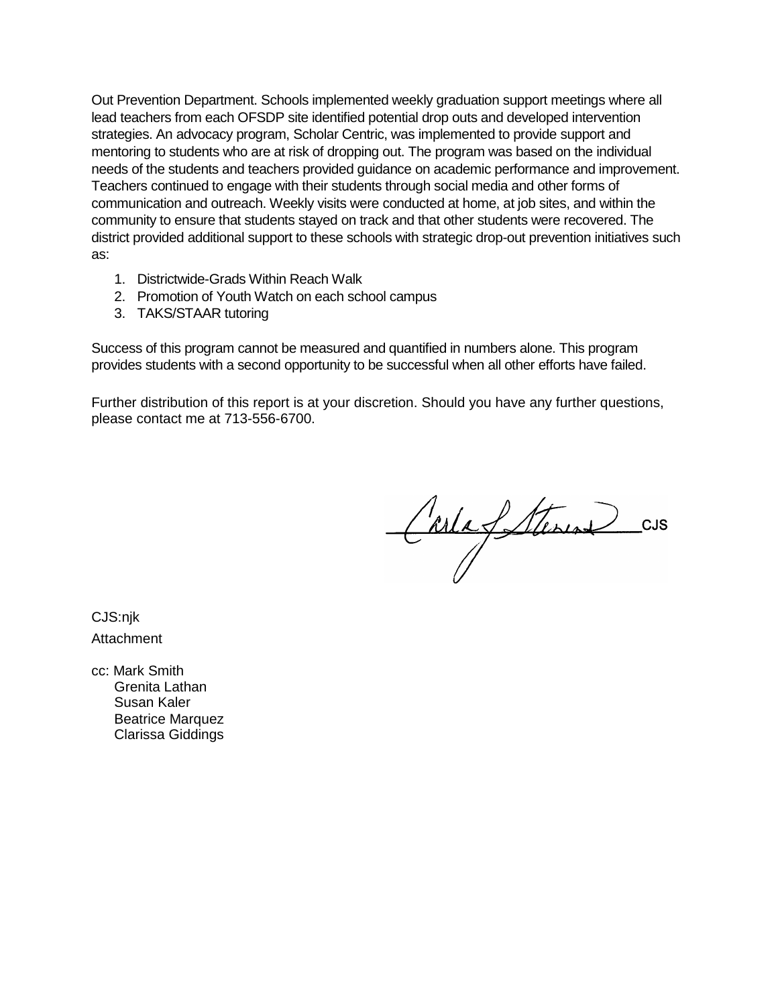Out Prevention Department. Schools implemented weekly graduation support meetings where all lead teachers from each OFSDP site identified potential drop outs and developed intervention strategies. An advocacy program, Scholar Centric, was implemented to provide support and mentoring to students who are at risk of dropping out. The program was based on the individual needs of the students and teachers provided guidance on academic performance and improvement. Teachers continued to engage with their students through social media and other forms of communication and outreach. Weekly visits were conducted at home, at job sites, and within the community to ensure that students stayed on track and that other students were recovered. The district provided additional support to these schools with strategic drop-out prevention initiatives such as:

- 1. Districtwide-Grads Within Reach Walk
- 2. Promotion of Youth Watch on each school campus
- 3. TAKS/STAAR tutoring

Success of this program cannot be measured and quantified in numbers alone. This program provides students with a second opportunity to be successful when all other efforts have failed.

Further distribution of this report is at your discretion. Should you have any further questions, please contact me at 713-556-6700.

Carla Stanus CUS

CJS:nik Attachment

cc: Mark Smith Grenita Lathan Susan Kaler Beatrice Marquez Clarissa Giddings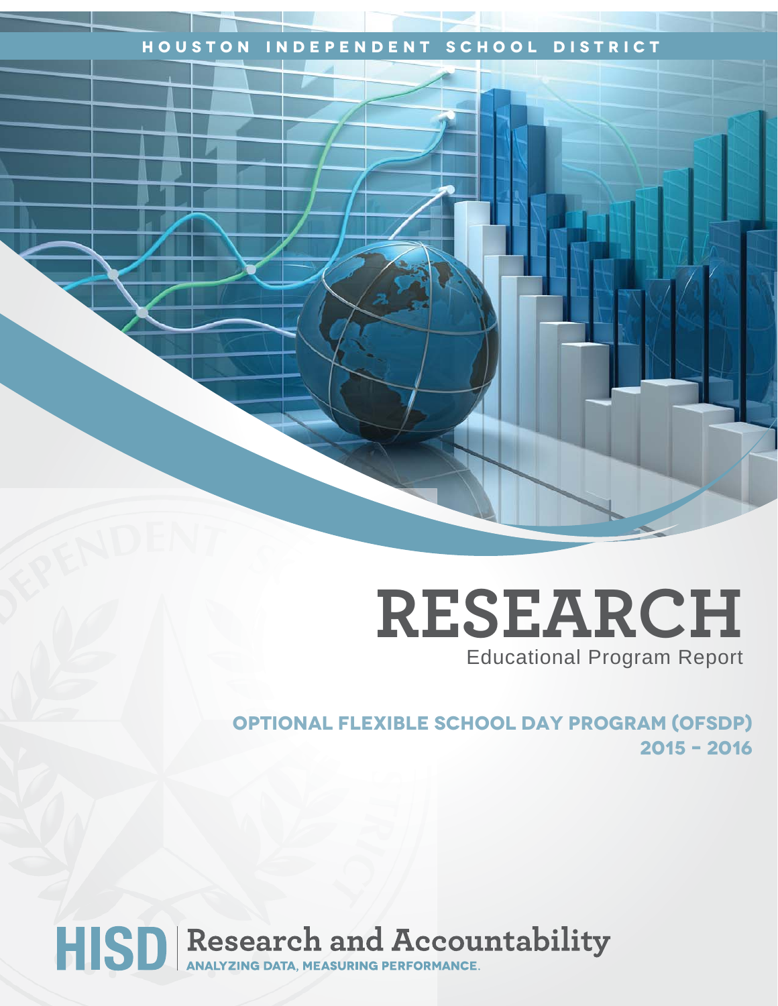# **Houston Independent School District**

# **RESEARCH** Educational Program Report

**OPTIONAL fLEXIBLE School dAY Program (ofsdp) 2015 – 2016**

HISD Research and Accountability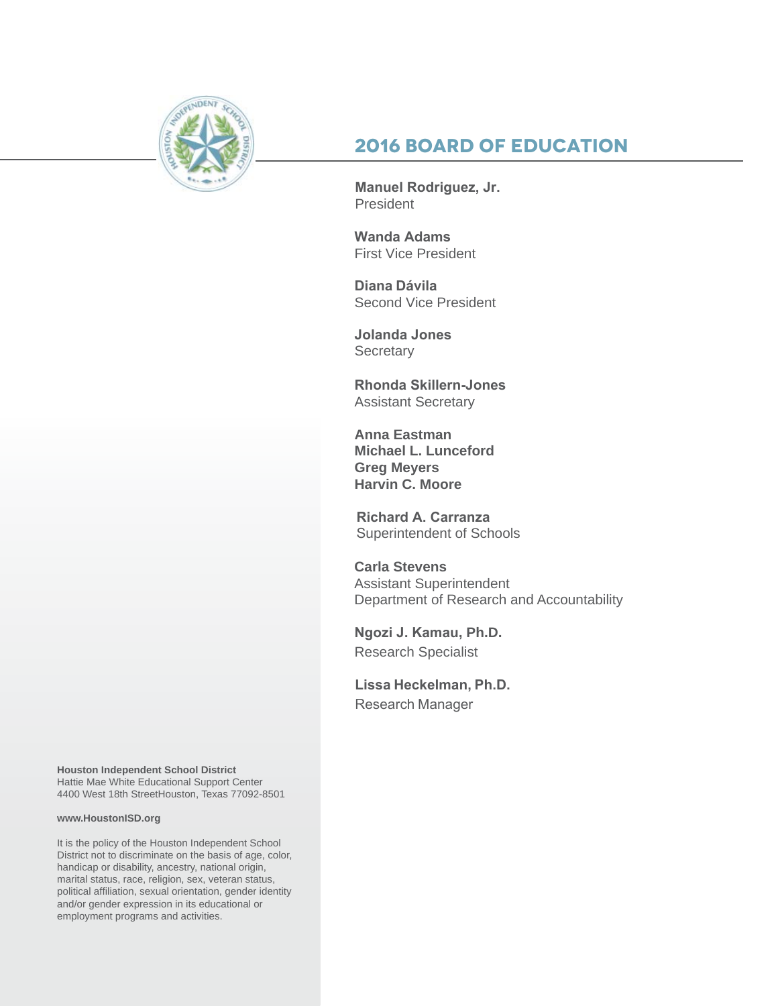

# **2016 Board of Education**

**Manuel Rodriguez, Jr.**  President

**Wanda Adams**  First Vice President

**Diana Dávila** Second Vice President

**Jolanda Jones Secretary** 

**Rhonda Skillern-Jones**  Assistant Secretary

**Anna Eastman Michael L. Lunceford Greg Meyers Harvin C. Moore**

**Richard A. Carranza** Superintendent of Schools

**Carla Stevens** Assistant Superintendent Department of Research and Accountability

**Ngozi J. Kamau, Ph.D.** Research Specialist

**Lissa Heckelman, Ph.D.**  Research Manager

**Houston Independent School District** Hattie Mae White Educational Support Center 4400 West 18th StreetHouston, Texas 77092-8501

#### **www.HoustonISD.org**

It is the policy of the Houston Independent School District not to discriminate on the basis of age, color, handicap or disability, ancestry, national origin, marital status, race, religion, sex, veteran status, political affiliation, sexual orientation, gender identity and/or gender expression in its educational or employment programs and activities.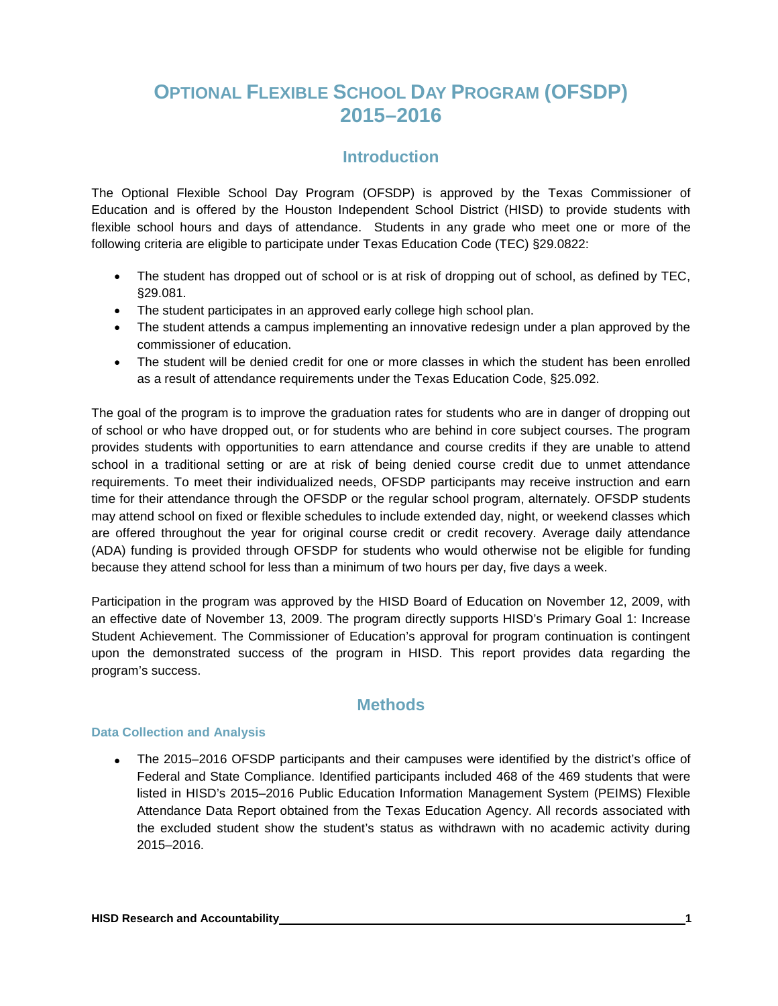# **OPTIONAL FLEXIBLE SCHOOL DAY PROGRAM (OFSDP) 2015–2016**

# **Introduction**

The Optional Flexible School Day Program (OFSDP) is approved by the Texas Commissioner of Education and is offered by the Houston Independent School District (HISD) to provide students with flexible school hours and days of attendance. Students in any grade who meet one or more of the following criteria are eligible to participate under Texas Education Code (TEC) §29.0822:

- The student has dropped out of school or is at risk of dropping out of school, as defined by TEC, §29.081.
- The student participates in an approved early college high school plan.
- The student attends a campus implementing an innovative redesign under a plan approved by the commissioner of education.
- The student will be denied credit for one or more classes in which the student has been enrolled as a result of attendance requirements under the Texas Education Code, §25.092.

The goal of the program is to improve the graduation rates for students who are in danger of dropping out of school or who have dropped out, or for students who are behind in core subject courses. The program provides students with opportunities to earn attendance and course credits if they are unable to attend school in a traditional setting or are at risk of being denied course credit due to unmet attendance requirements. To meet their individualized needs, OFSDP participants may receive instruction and earn time for their attendance through the OFSDP or the regular school program, alternately. OFSDP students may attend school on fixed or flexible schedules to include extended day, night, or weekend classes which are offered throughout the year for original course credit or credit recovery. Average daily attendance (ADA) funding is provided through OFSDP for students who would otherwise not be eligible for funding because they attend school for less than a minimum of two hours per day, five days a week.

Participation in the program was approved by the HISD Board of Education on November 12, 2009, with an effective date of November 13, 2009. The program directly supports HISD's Primary Goal 1: Increase Student Achievement. The Commissioner of Education's approval for program continuation is contingent upon the demonstrated success of the program in HISD. This report provides data regarding the program's success.

# **Methods**

#### **Data Collection and Analysis**

• The 2015–2016 OFSDP participants and their campuses were identified by the district's office of Federal and State Compliance. Identified participants included 468 of the 469 students that were listed in HISD's 2015–2016 Public Education Information Management System (PEIMS) Flexible Attendance Data Report obtained from the Texas Education Agency. All records associated with the excluded student show the student's status as withdrawn with no academic activity during 2015–2016.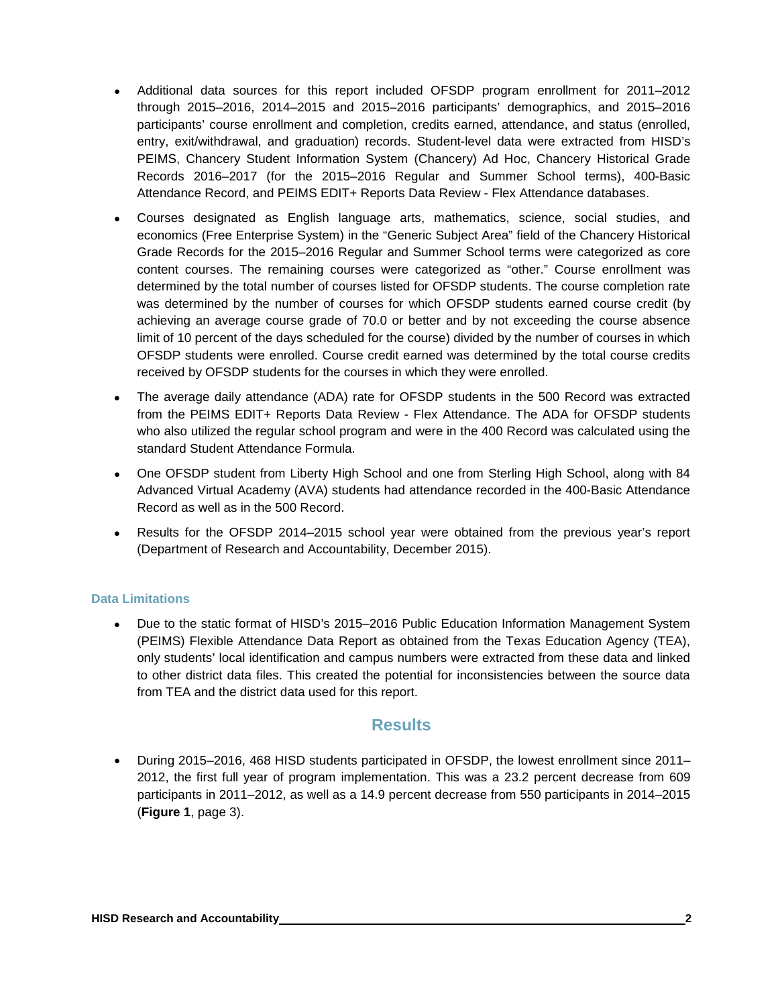- Additional data sources for this report included OFSDP program enrollment for 2011–2012 through 2015–2016, 2014–2015 and 2015–2016 participants' demographics, and 2015–2016 participants' course enrollment and completion, credits earned, attendance, and status (enrolled, entry, exit/withdrawal, and graduation) records. Student-level data were extracted from HISD's PEIMS, Chancery Student Information System (Chancery) Ad Hoc, Chancery Historical Grade Records 2016–2017 (for the 2015–2016 Regular and Summer School terms), 400-Basic Attendance Record, and PEIMS EDIT+ Reports Data Review - Flex Attendance databases.
- Courses designated as English language arts, mathematics, science, social studies, and economics (Free Enterprise System) in the "Generic Subject Area" field of the Chancery Historical Grade Records for the 2015–2016 Regular and Summer School terms were categorized as core content courses. The remaining courses were categorized as "other." Course enrollment was determined by the total number of courses listed for OFSDP students. The course completion rate was determined by the number of courses for which OFSDP students earned course credit (by achieving an average course grade of 70.0 or better and by not exceeding the course absence limit of 10 percent of the days scheduled for the course) divided by the number of courses in which OFSDP students were enrolled. Course credit earned was determined by the total course credits received by OFSDP students for the courses in which they were enrolled.
- The average daily attendance (ADA) rate for OFSDP students in the 500 Record was extracted from the PEIMS EDIT+ Reports Data Review - Flex Attendance. The ADA for OFSDP students who also utilized the regular school program and were in the 400 Record was calculated using the standard Student Attendance Formula.
- One OFSDP student from Liberty High School and one from Sterling High School, along with 84 Advanced Virtual Academy (AVA) students had attendance recorded in the 400-Basic Attendance Record as well as in the 500 Record.
- Results for the OFSDP 2014–2015 school year were obtained from the previous year's report (Department of Research and Accountability, December 2015).

#### **Data Limitations**

• Due to the static format of HISD's 2015–2016 Public Education Information Management System (PEIMS) Flexible Attendance Data Report as obtained from the Texas Education Agency (TEA), only students' local identification and campus numbers were extracted from these data and linked to other district data files. This created the potential for inconsistencies between the source data from TEA and the district data used for this report.

## **Results**

• During 2015–2016, 468 HISD students participated in OFSDP, the lowest enrollment since 2011– 2012, the first full year of program implementation. This was a 23.2 percent decrease from 609 participants in 2011–2012, as well as a 14.9 percent decrease from 550 participants in 2014–2015 (**Figure 1**, page 3).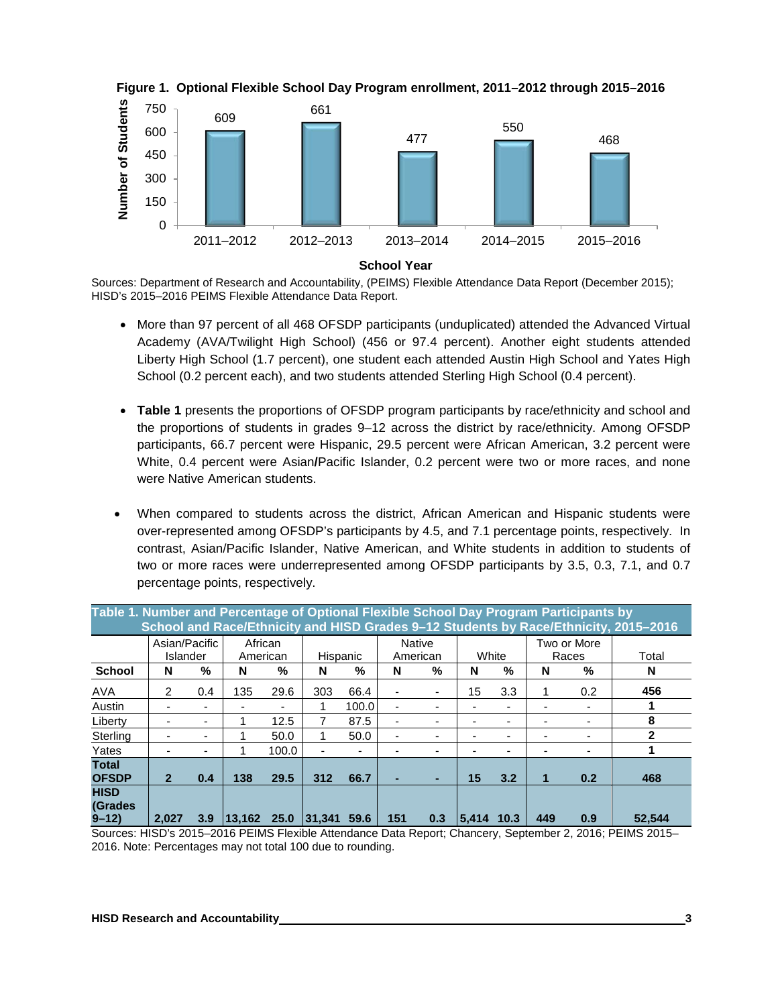





Sources: Department of Research and Accountability, (PEIMS) Flexible Attendance Data Report (December 2015); HISD's 2015–2016 PEIMS Flexible Attendance Data Report.

- More than 97 percent of all 468 OFSDP participants (unduplicated) attended the Advanced Virtual Academy (AVA/Twilight High School) (456 or 97.4 percent). Another eight students attended Liberty High School (1.7 percent), one student each attended Austin High School and Yates High School (0.2 percent each), and two students attended Sterling High School (0.4 percent).
- **Table 1** presents the proportions of OFSDP program participants by race/ethnicity and school and the proportions of students in grades 9–12 across the district by race/ethnicity. Among OFSDP participants, 66.7 percent were Hispanic, 29.5 percent were African American, 3.2 percent were White, 0.4 percent were Asian**/**Pacific Islander, 0.2 percent were two or more races, and none were Native American students.
- When compared to students across the district, African American and Hispanic students were over-represented among OFSDP's participants by 4.5, and 7.1 percentage points, respectively. In contrast, Asian/Pacific Islander, Native American, and White students in addition to students of two or more races were underrepresented among OFSDP participants by 3.5, 0.3, 7.1, and 0.7 percentage points, respectively.

| Table 1. Number and Percentage of Optional Flexible School Day Program Participants by<br>School and Race/Ethnicity and HISD Grades 9-12 Students by Race/Ethnicity, 2015-2016 |                           |     |                     |       |                  |       |     |                           |        |      |     |                      |              |
|--------------------------------------------------------------------------------------------------------------------------------------------------------------------------------|---------------------------|-----|---------------------|-------|------------------|-------|-----|---------------------------|--------|------|-----|----------------------|--------------|
|                                                                                                                                                                                | Asian/Pacific<br>Islander |     | African<br>American |       | Hispanic         |       |     | <b>Native</b><br>American | White  |      |     | Two or More<br>Races | Total        |
| <b>School</b>                                                                                                                                                                  | N                         | %   | N                   | %     | N                | %     | N   | %                         | N      | %    | N   | %                    | N            |
| <b>AVA</b>                                                                                                                                                                     | 2                         | 0.4 | 135                 | 29.6  | 303              | 66.4  |     |                           | 15     | 3.3  |     | 0.2                  | 456          |
| Austin                                                                                                                                                                         |                           |     |                     |       |                  | 100.0 |     |                           |        |      |     |                      |              |
| Liberty                                                                                                                                                                        |                           |     |                     | 12.5  |                  | 87.5  |     |                           |        |      |     |                      | 8            |
| Sterling                                                                                                                                                                       |                           | -   |                     | 50.0  |                  | 50.0  |     |                           |        |      |     |                      | $\mathbf{2}$ |
| Yates                                                                                                                                                                          |                           |     |                     | 100.0 |                  |       |     |                           |        |      |     |                      |              |
| <b>Total</b><br><b>OFSDP</b>                                                                                                                                                   | $\overline{2}$            | 0.4 | 138                 | 29.5  | 312              | 66.7  |     |                           | 15     | 3.2  | 1   | 0.2                  | 468          |
| <b>HISD</b><br>(Grades)<br>$9 - 12$                                                                                                                                            | 2.027                     | 3.9 | $ 13,162 \t25.0 $   |       | $ 31.341\rangle$ | 59.6  | 151 | 0.3                       | 15.414 | 10.3 | 449 | 0.9                  | 52.544       |

Sources: HISD's 2015–2016 PEIMS Flexible Attendance Data Report; Chancery, September 2, 2016; PEIMS 2015– 2016. Note: Percentages may not total 100 due to rounding.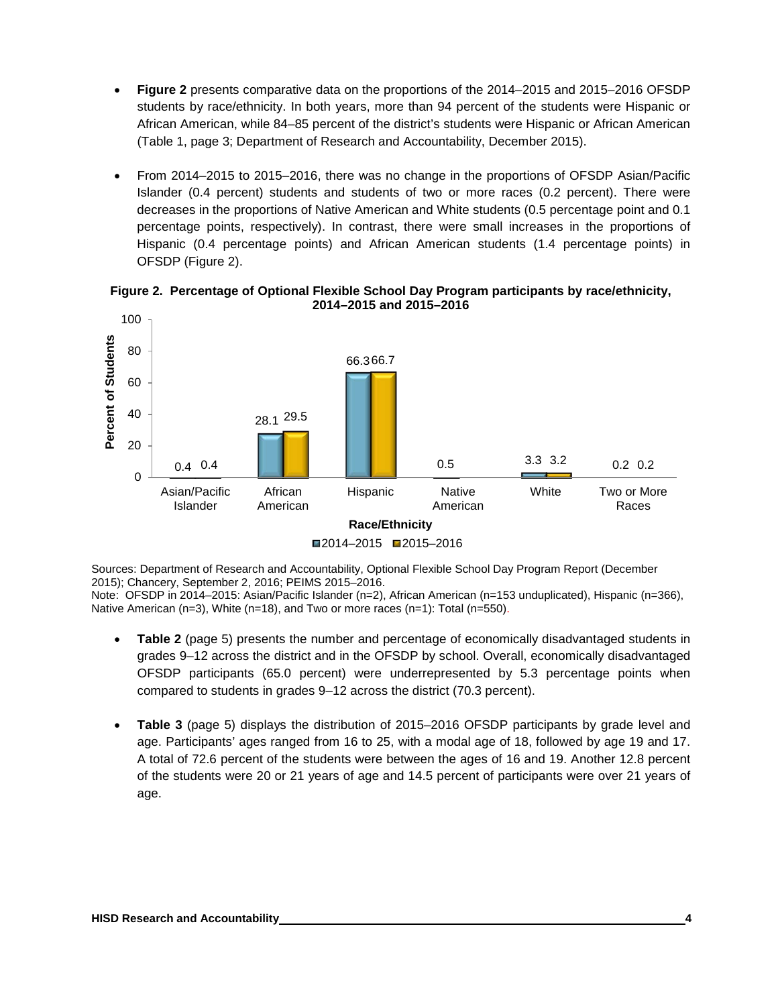- **Figure 2** presents comparative data on the proportions of the 2014–2015 and 2015–2016 OFSDP students by race/ethnicity. In both years, more than 94 percent of the students were Hispanic or African American, while 84–85 percent of the district's students were Hispanic or African American (Table 1, page 3; Department of Research and Accountability, December 2015).
- From 2014–2015 to 2015–2016, there was no change in the proportions of OFSDP Asian/Pacific Islander (0.4 percent) students and students of two or more races (0.2 percent). There were decreases in the proportions of Native American and White students (0.5 percentage point and 0.1 percentage points, respectively). In contrast, there were small increases in the proportions of Hispanic (0.4 percentage points) and African American students (1.4 percentage points) in OFSDP (Figure 2).



**Figure 2. Percentage of Optional Flexible School Day Program participants by race/ethnicity, 2014–2015 and 2015–2016**

Sources: Department of Research and Accountability, Optional Flexible School Day Program Report (December 2015); Chancery, September 2, 2016; PEIMS 2015–2016.

Note: OFSDP in 2014–2015: Asian/Pacific Islander (n=2), African American (n=153 unduplicated), Hispanic (n=366), Native American (n=3), White (n=18), and Two or more races (n=1): Total (n=550).

- **Table 2** (page 5) presents the number and percentage of economically disadvantaged students in grades 9–12 across the district and in the OFSDP by school. Overall, economically disadvantaged OFSDP participants (65.0 percent) were underrepresented by 5.3 percentage points when compared to students in grades 9–12 across the district (70.3 percent).
- **Table 3** (page 5) displays the distribution of 2015–2016 OFSDP participants by grade level and age. Participants' ages ranged from 16 to 25, with a modal age of 18, followed by age 19 and 17. A total of 72.6 percent of the students were between the ages of 16 and 19. Another 12.8 percent of the students were 20 or 21 years of age and 14.5 percent of participants were over 21 years of age.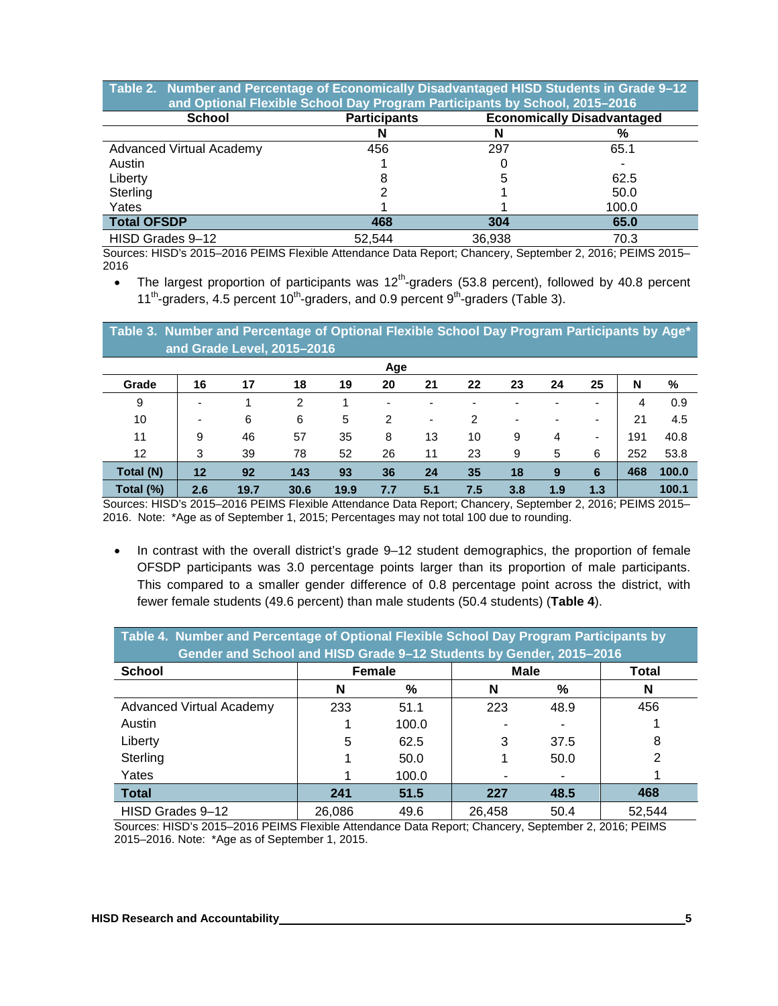| Table 2. Number and Percentage of Economically Disadvantaged HISD Students in Grade 9-12<br>and Optional Flexible School Day Program Participants by School, 2015-2016 |                     |                                   |       |  |  |  |  |  |
|------------------------------------------------------------------------------------------------------------------------------------------------------------------------|---------------------|-----------------------------------|-------|--|--|--|--|--|
| <b>School</b>                                                                                                                                                          | <b>Participants</b> | <b>Economically Disadvantaged</b> |       |  |  |  |  |  |
|                                                                                                                                                                        |                     |                                   | %     |  |  |  |  |  |
| Advanced Virtual Academy                                                                                                                                               | 456                 | 297                               | 65.1  |  |  |  |  |  |
| Austin                                                                                                                                                                 |                     |                                   |       |  |  |  |  |  |
| Liberty                                                                                                                                                                |                     | 5                                 | 62.5  |  |  |  |  |  |
| Sterling                                                                                                                                                               |                     |                                   | 50.0  |  |  |  |  |  |
| Yates                                                                                                                                                                  |                     |                                   | 100.0 |  |  |  |  |  |
| <b>Total OFSDP</b>                                                                                                                                                     | 468                 | 304                               | 65.0  |  |  |  |  |  |
| HISD Grades 9-12                                                                                                                                                       | 52,544              | 36,938                            | 70.3  |  |  |  |  |  |

Sources: HISD's 2015–2016 PEIMS Flexible Attendance Data Report; Chancery, September 2, 2016; PEIMS 2015– 2016

• The largest proportion of participants was  $12^{th}$ -graders (53.8 percent), followed by 40.8 percent  $11^{th}$ -graders, 4.5 percent  $10^{th}$ -graders, and 0.9 percent  $9^{th}$ -graders (Table 3).

**Table 3. Number and Percentage of Optional Flexible School Day Program Participants by Age\* and Grade Level, 2015–2016**

|           | Age                      |      |      |      |     |                          |     |     |     |                          |     |       |
|-----------|--------------------------|------|------|------|-----|--------------------------|-----|-----|-----|--------------------------|-----|-------|
| Grade     | 16                       | 17   | 18   | 19   | 20  | 21                       | 22  | 23  | 24  | 25                       | N   | %     |
| 9         | $\overline{\phantom{a}}$ |      | 2    |      | -   | ۰                        |     |     |     | -                        | 4   | 0.9   |
| 10        | $\overline{\phantom{a}}$ | 6    | 6    | 5    | 2   | $\overline{\phantom{a}}$ | 2   | ۰   | -   | $\overline{\phantom{0}}$ | 21  | 4.5   |
| 11        | 9                        | 46   | 57   | 35   | 8   | 13                       | 10  | 9   | 4   | $\overline{\phantom{0}}$ | 191 | 40.8  |
| 12        | 3                        | 39   | 78   | 52   | 26  | 11                       | 23  | 9   | 5   | 6                        | 252 | 53.8  |
| Total (N) | 12                       | 92   | 143  | 93   | 36  | 24                       | 35  | 18  | 9   | 6                        | 468 | 100.0 |
| Total (%) | 2.6                      | 19.7 | 30.6 | 19.9 | 7.7 | 5.1                      | 7.5 | 3.8 | 1.9 | 1.3                      |     | 100.1 |

Sources: HISD's 2015–2016 PEIMS Flexible Attendance Data Report; Chancery, September 2, 2016; PEIMS 2015– 2016. Note: \*Age as of September 1, 2015; Percentages may not total 100 due to rounding.

• In contrast with the overall district's grade 9–12 student demographics, the proportion of female OFSDP participants was 3.0 percentage points larger than its proportion of male participants. This compared to a smaller gender difference of 0.8 percentage point across the district, with fewer female students (49.6 percent) than male students (50.4 students) (**Table 4**).

| Table 4. Number and Percentage of Optional Flexible School Day Program Participants by<br>Gender and School and HISD Grade 9-12 Students by Gender, 2015-2016 |        |       |             |       |        |  |  |  |  |  |
|---------------------------------------------------------------------------------------------------------------------------------------------------------------|--------|-------|-------------|-------|--------|--|--|--|--|--|
| <b>School</b>                                                                                                                                                 | Female |       | <b>Male</b> | Total |        |  |  |  |  |  |
|                                                                                                                                                               | N      | %     | N           | %     | N      |  |  |  |  |  |
| <b>Advanced Virtual Academy</b>                                                                                                                               | 233    | 51.1  | 223         | 48.9  | 456    |  |  |  |  |  |
| Austin                                                                                                                                                        |        | 100.0 |             |       |        |  |  |  |  |  |
| Liberty                                                                                                                                                       | 5      | 62.5  | 3           | 37.5  | 8      |  |  |  |  |  |
| Sterling                                                                                                                                                      |        | 50.0  |             | 50.0  | 2      |  |  |  |  |  |
| Yates                                                                                                                                                         |        | 100.0 |             |       |        |  |  |  |  |  |
| <b>Total</b>                                                                                                                                                  | 241    | 51.5  | 227         | 48.5  | 468    |  |  |  |  |  |
| HISD Grades 9-12                                                                                                                                              | 26,086 | 49.6  | 26,458      | 50.4  | 52.544 |  |  |  |  |  |

Sources: HISD's 2015–2016 PEIMS Flexible Attendance Data Report; Chancery, September 2, 2016; PEIMS 2015–2016. Note: \*Age as of September 1, 2015.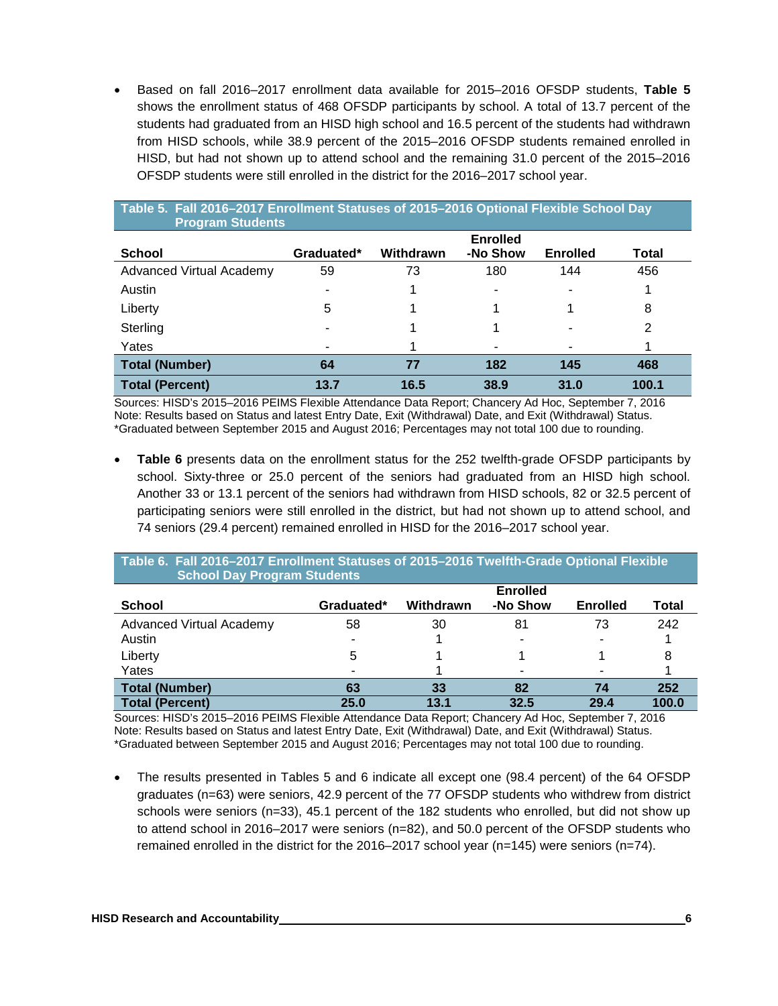• Based on fall 2016–2017 enrollment data available for 2015–2016 OFSDP students, **Table 5** shows the enrollment status of 468 OFSDP participants by school. A total of 13.7 percent of the students had graduated from an HISD high school and 16.5 percent of the students had withdrawn from HISD schools, while 38.9 percent of the 2015–2016 OFSDP students remained enrolled in HISD, but had not shown up to attend school and the remaining 31.0 percent of the 2015–2016 OFSDP students were still enrolled in the district for the 2016–2017 school year.

| Table 5. Fall 2016-2017 Enrollment Statuses of 2015-2016 Optional Flexible School Day<br><b>Program Students</b> |            |           |                             |                 |       |  |  |  |  |
|------------------------------------------------------------------------------------------------------------------|------------|-----------|-----------------------------|-----------------|-------|--|--|--|--|
| <b>School</b>                                                                                                    | Graduated* | Withdrawn | <b>Enrolled</b><br>-No Show | <b>Enrolled</b> | Total |  |  |  |  |
| <b>Advanced Virtual Academy</b>                                                                                  | 59         | 73        | 180                         | 144             | 456   |  |  |  |  |
| Austin                                                                                                           |            |           | -                           |                 |       |  |  |  |  |
| Liberty                                                                                                          | 5          |           |                             |                 | 8     |  |  |  |  |
| Sterling                                                                                                         |            |           |                             |                 | 2     |  |  |  |  |
| Yates                                                                                                            |            |           |                             |                 |       |  |  |  |  |
| <b>Total (Number)</b>                                                                                            | 64         | 77        | 182                         | 145             | 468   |  |  |  |  |
| <b>Total (Percent)</b>                                                                                           | 13.7       | 16.5      | 38.9                        | 31.0            | 100.1 |  |  |  |  |

Sources: HISD's 2015–2016 PEIMS Flexible Attendance Data Report; Chancery Ad Hoc, September 7, 2016 Note: Results based on Status and latest Entry Date, Exit (Withdrawal) Date, and Exit (Withdrawal) Status. \*Graduated between September 2015 and August 2016; Percentages may not total 100 due to rounding.

• **Table 6** presents data on the enrollment status for the 252 twelfth-grade OFSDP participants by school. Sixty-three or 25.0 percent of the seniors had graduated from an HISD high school. Another 33 or 13.1 percent of the seniors had withdrawn from HISD schools, 82 or 32.5 percent of participating seniors were still enrolled in the district, but had not shown up to attend school, and 74 seniors (29.4 percent) remained enrolled in HISD for the 2016–2017 school year.

| Table 6. Fall 2016-2017 Enrollment Statuses of 2015-2016 Twelfth-Grade Optional Flexible<br><b>School Day Program Students</b> |            |           |                             |                 |              |  |  |  |  |  |
|--------------------------------------------------------------------------------------------------------------------------------|------------|-----------|-----------------------------|-----------------|--------------|--|--|--|--|--|
| <b>School</b>                                                                                                                  | Graduated* | Withdrawn | <b>Enrolled</b><br>-No Show | <b>Enrolled</b> | <b>Total</b> |  |  |  |  |  |
| Advanced Virtual Academy<br>Austin                                                                                             | 58<br>٠    | 30        | 81                          | 73              | 242          |  |  |  |  |  |
| Liberty<br>Yates                                                                                                               | 5          |           |                             |                 |              |  |  |  |  |  |
| <b>Total (Number)</b>                                                                                                          | 63         | 33        | 82                          | 74              | 252          |  |  |  |  |  |
| <b>Total (Percent)</b>                                                                                                         | 25.0       | 13.1      | 32.5                        | 29.4            | 100.0        |  |  |  |  |  |

Sources: HISD's 2015–2016 PEIMS Flexible Attendance Data Report; Chancery Ad Hoc, September 7, 2016 Note: Results based on Status and latest Entry Date, Exit (Withdrawal) Date, and Exit (Withdrawal) Status. \*Graduated between September 2015 and August 2016; Percentages may not total 100 due to rounding.

• The results presented in Tables 5 and 6 indicate all except one (98.4 percent) of the 64 OFSDP graduates (n=63) were seniors, 42.9 percent of the 77 OFSDP students who withdrew from district schools were seniors (n=33), 45.1 percent of the 182 students who enrolled, but did not show up to attend school in 2016–2017 were seniors (n=82), and 50.0 percent of the OFSDP students who remained enrolled in the district for the 2016–2017 school year (n=145) were seniors (n=74).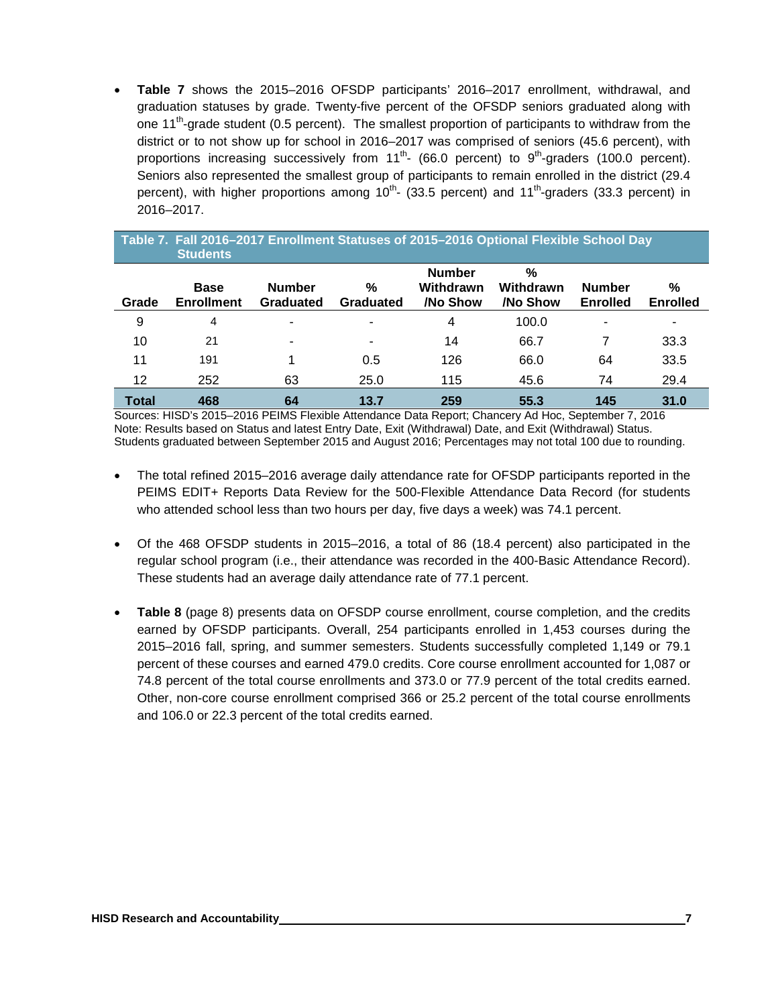• **Table 7** shows the 2015–2016 OFSDP participants' 2016–2017 enrollment, withdrawal, and graduation statuses by grade. Twenty-five percent of the OFSDP seniors graduated along with one 11<sup>th</sup>-grade student (0.5 percent). The smallest proportion of participants to withdraw from the district or to not show up for school in 2016–2017 was comprised of seniors (45.6 percent), with proportions increasing successively from  $11^{th}$ - (66.0 percent) to  $9^{th}$ -graders (100.0 percent). Seniors also represented the smallest group of participants to remain enrolled in the district (29.4 percent), with higher proportions among  $10^{th}$ - (33.5 percent) and  $11^{th}$ -graders (33.3 percent) in 2016–2017.

| Table 7. Fall 2016-2017 Enrollment Statuses of 2015-2016 Optional Flexible School Day |
|---------------------------------------------------------------------------------------|
| <b>Students</b>                                                                       |
| <b>Alexandrew</b>                                                                     |

| Grade        | <b>Base</b><br><b>Enrollment</b> | <b>Number</b><br>Graduated | %<br>Graduated | <b>Number</b><br>Withdrawn<br>/No Show | $\%$<br>Withdrawn<br>/No Show | <b>Number</b><br><b>Enrolled</b> | %<br><b>Enrolled</b> |
|--------------|----------------------------------|----------------------------|----------------|----------------------------------------|-------------------------------|----------------------------------|----------------------|
| 9            | 4                                | ۰                          | ۰              | 4                                      | 100.0                         | ٠                                | ٠                    |
| 10           | 21                               | ۰                          |                | 14                                     | 66.7                          |                                  | 33.3                 |
| 11           | 191                              |                            | 0.5            | 126                                    | 66.0                          | 64                               | 33.5                 |
| 12           | 252                              | 63                         | 25.0           | 115                                    | 45.6                          | 74                               | 29.4                 |
| <b>Total</b> | 468                              | 64                         | 13.7           | 259                                    | 55.3                          | 145                              | 31.0                 |

Sources: HISD's 2015–2016 PEIMS Flexible Attendance Data Report; Chancery Ad Hoc, September 7, 2016 Note: Results based on Status and latest Entry Date, Exit (Withdrawal) Date, and Exit (Withdrawal) Status. Students graduated between September 2015 and August 2016; Percentages may not total 100 due to rounding.

- The total refined 2015–2016 average daily attendance rate for OFSDP participants reported in the PEIMS EDIT+ Reports Data Review for the 500-Flexible Attendance Data Record (for students who attended school less than two hours per day, five days a week) was 74.1 percent.
- Of the 468 OFSDP students in 2015–2016, a total of 86 (18.4 percent) also participated in the regular school program (i.e., their attendance was recorded in the 400-Basic Attendance Record). These students had an average daily attendance rate of 77.1 percent.
- **Table 8** (page 8) presents data on OFSDP course enrollment, course completion, and the credits earned by OFSDP participants. Overall, 254 participants enrolled in 1,453 courses during the 2015–2016 fall, spring, and summer semesters. Students successfully completed 1,149 or 79.1 percent of these courses and earned 479.0 credits. Core course enrollment accounted for 1,087 or 74.8 percent of the total course enrollments and 373.0 or 77.9 percent of the total credits earned. Other, non-core course enrollment comprised 366 or 25.2 percent of the total course enrollments and 106.0 or 22.3 percent of the total credits earned.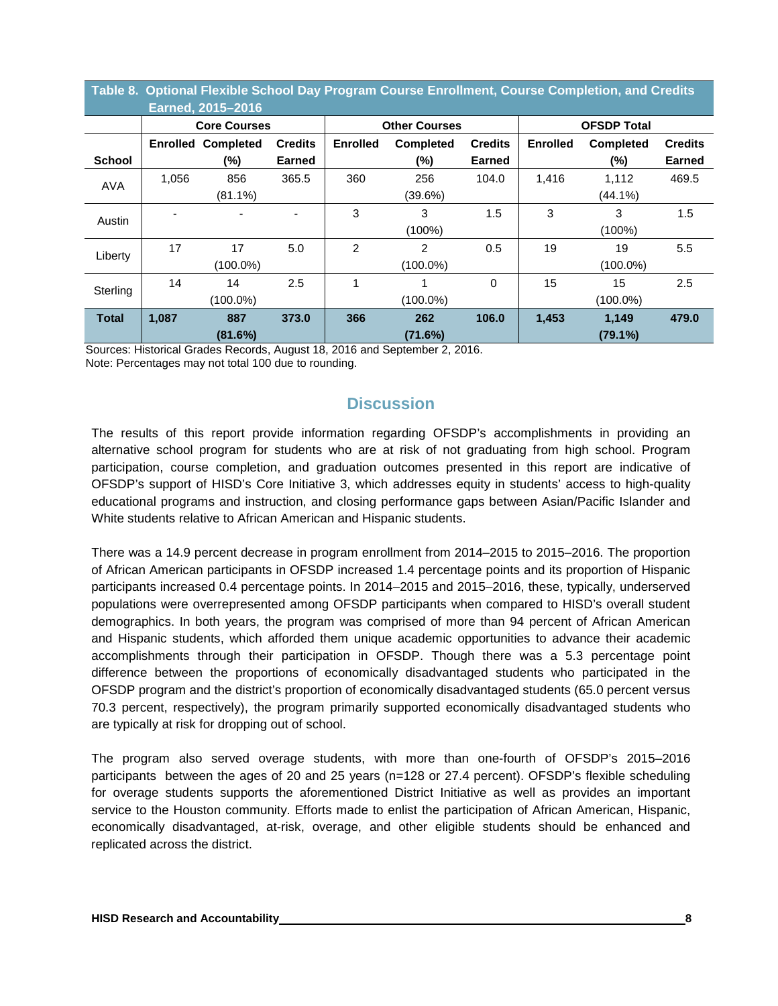|               |                                             | Earned, 2015-2016   |               |                                                       | Table 8. Optional Flexible School Day Program Course Enrollment, Course Completion, and Credits |                 |                    |                                    |               |  |
|---------------|---------------------------------------------|---------------------|---------------|-------------------------------------------------------|-------------------------------------------------------------------------------------------------|-----------------|--------------------|------------------------------------|---------------|--|
|               |                                             | <b>Core Courses</b> |               |                                                       | <b>Other Courses</b>                                                                            |                 | <b>OFSDP Total</b> |                                    |               |  |
|               | <b>Credits</b><br><b>Enrolled Completed</b> |                     |               | <b>Enrolled</b><br><b>Credits</b><br><b>Completed</b> |                                                                                                 | <b>Enrolled</b> | <b>Completed</b>   | <b>Credits</b>                     |               |  |
| <b>School</b> |                                             | (%)                 | <b>Earned</b> |                                                       | (%)                                                                                             | <b>Earned</b>   |                    | (%)                                | <b>Earned</b> |  |
| <b>AVA</b>    | 1,056                                       | 856                 | 365.5         | 360                                                   | 256                                                                                             | 104.0           | 1.416              | 1,112                              | 469.5         |  |
|               |                                             | $(81.1\%)$          |               |                                                       | (39.6%)                                                                                         |                 |                    | $(44.1\%)$                         |               |  |
| Austin        |                                             |                     |               | 3                                                     | 3                                                                                               | 1.5             | 3                  | 3                                  | 1.5           |  |
|               |                                             |                     |               |                                                       | $(100\%)$                                                                                       |                 |                    | $(100\%)$                          |               |  |
| Liberty       | 17                                          | 17                  | 5.0           | $\overline{2}$                                        | $\overline{2}$                                                                                  | 0.5             | 19                 | 19                                 | 5.5           |  |
|               |                                             | $(100.0\%)$         |               |                                                       | (100.0%)                                                                                        |                 |                    | $(100.0\%)$                        |               |  |
| Sterling      | 14                                          | 14                  | 2.5           |                                                       |                                                                                                 | 0               | 15                 | 15                                 | 2.5           |  |
|               |                                             | $(100.0\%)$         |               |                                                       | $(100.0\%)$                                                                                     |                 |                    | $(100.0\%)$<br>1,149<br>$(79.1\%)$ |               |  |
| <b>Total</b>  | 1,087                                       | 887                 | 373.0         | 366                                                   | 262                                                                                             | 106.0           | 1,453              |                                    | 479.0         |  |
|               |                                             | (81.6%)             |               |                                                       | (71.6%)                                                                                         |                 |                    |                                    |               |  |

Sources: Historical Grades Records, August 18, 2016 and September 2, 2016.

Note: Percentages may not total 100 due to rounding.

# **Discussion**

The results of this report provide information regarding OFSDP's accomplishments in providing an alternative school program for students who are at risk of not graduating from high school. Program participation, course completion, and graduation outcomes presented in this report are indicative of OFSDP's support of HISD's Core Initiative 3, which addresses equity in students' access to high-quality educational programs and instruction, and closing performance gaps between Asian/Pacific Islander and White students relative to African American and Hispanic students.

There was a 14.9 percent decrease in program enrollment from 2014–2015 to 2015–2016. The proportion of African American participants in OFSDP increased 1.4 percentage points and its proportion of Hispanic participants increased 0.4 percentage points. In 2014–2015 and 2015–2016, these, typically, underserved populations were overrepresented among OFSDP participants when compared to HISD's overall student demographics. In both years, the program was comprised of more than 94 percent of African American and Hispanic students, which afforded them unique academic opportunities to advance their academic accomplishments through their participation in OFSDP. Though there was a 5.3 percentage point difference between the proportions of economically disadvantaged students who participated in the OFSDP program and the district's proportion of economically disadvantaged students (65.0 percent versus 70.3 percent, respectively), the program primarily supported economically disadvantaged students who are typically at risk for dropping out of school.

The program also served overage students, with more than one-fourth of OFSDP's 2015–2016 participants between the ages of 20 and 25 years (n=128 or 27.4 percent). OFSDP's flexible scheduling for overage students supports the aforementioned District Initiative as well as provides an important service to the Houston community. Efforts made to enlist the participation of African American, Hispanic, economically disadvantaged, at-risk, overage, and other eligible students should be enhanced and replicated across the district.